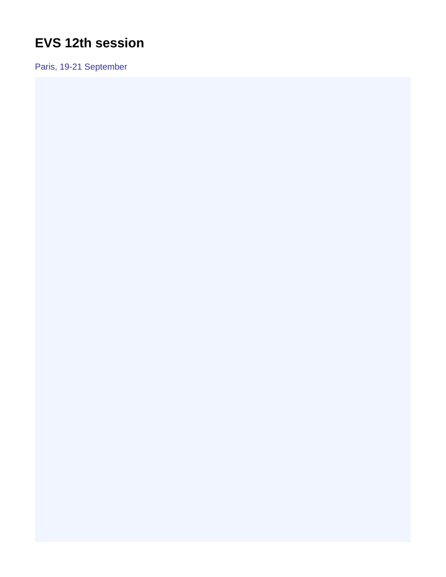## <span id="page-0-0"></span>**EVS 12th session**

Paris, 19-21 September